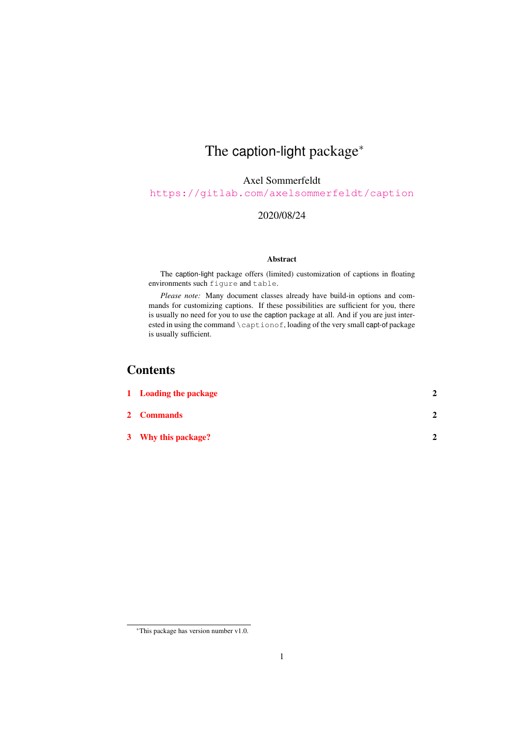# The caption-light package<sup>\*</sup>

Axel Sommerfeldt

<https://gitlab.com/axelsommerfeldt/caption>

#### 2020/08/24

#### Abstract

The caption-light package offers (limited) customization of captions in floating environments such figure and table.

*Please note:* Many document classes already have build-in options and commands for customizing captions. If these possibilities are sufficient for you, there is usually no need for you to use the caption package at all. And if you are just interested in using the command  $\cap f$ , loading of the very small capt-of package is usually sufficient.

#### **Contents**

| 1 Loading the package |   |
|-----------------------|---|
| <b>2</b> Commands     | າ |
| 3 Why this package?   | ↑ |

<sup>∗</sup>This package has version number v1.0.